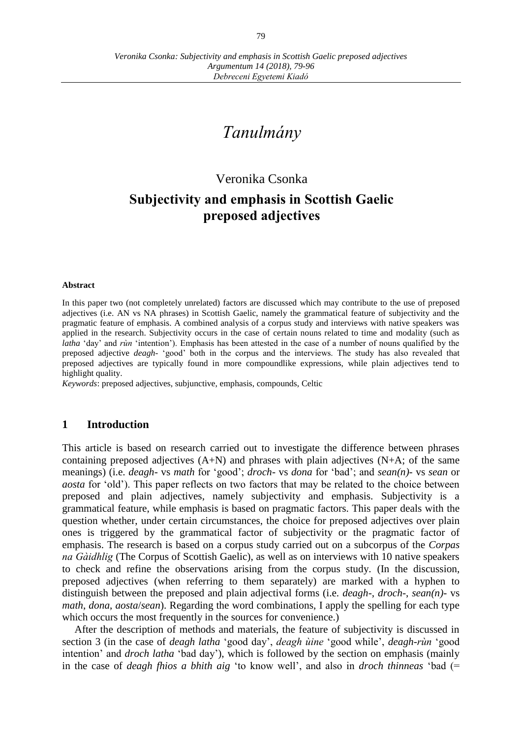# *Tanulmány*

# Veronika Csonka

# **Subjectivity and emphasis in Scottish Gaelic preposed adjectives**

### **Abstract**

In this paper two (not completely unrelated) factors are discussed which may contribute to the use of preposed adjectives (i.e. AN vs NA phrases) in Scottish Gaelic, namely the grammatical feature of subjectivity and the pragmatic feature of emphasis. A combined analysis of a corpus study and interviews with native speakers was applied in the research. Subjectivity occurs in the case of certain nouns related to time and modality (such as *latha* ʻday' and *rùn* ʻintention'). Emphasis has been attested in the case of a number of nouns qualified by the preposed adjective *deagh-* ʻgood' both in the corpus and the interviews. The study has also revealed that preposed adjectives are typically found in more compoundlike expressions, while plain adjectives tend to highlight quality.

*Keywords*: preposed adjectives, subjunctive, emphasis, compounds, Celtic

# **1 Introduction**

This article is based on research carried out to investigate the difference between phrases containing preposed adjectives  $(A+N)$  and phrases with plain adjectives  $(N+A;$  of the same meanings) (i.e. *deagh-* vs *math* for 'good'; *droch-* vs *dona* for 'bad'; and *sean(n)-* vs *sean* or *aosta* for 'old'). This paper reflects on two factors that may be related to the choice between preposed and plain adjectives, namely subjectivity and emphasis. Subjectivity is a grammatical feature, while emphasis is based on pragmatic factors. This paper deals with the question whether, under certain circumstances, the choice for preposed adjectives over plain ones is triggered by the grammatical factor of subjectivity or the pragmatic factor of emphasis. The research is based on a corpus study carried out on a subcorpus of the *Corpas na Gàidhlig* (The Corpus of Scottish Gaelic), as well as on interviews with 10 native speakers to check and refine the observations arising from the corpus study. (In the discussion, preposed adjectives (when referring to them separately) are marked with a hyphen to distinguish between the preposed and plain adjectival forms (i.e. *deagh-*, *droch-*, *sean(n)-* vs *math*, *dona*, *aosta*/*sean*). Regarding the word combinations, I apply the spelling for each type which occurs the most frequently in the sources for convenience.)

After the description of methods and materials, the feature of subjectivity is discussed in section 3 (in the case of *deagh latha* ʻgood day', *deagh ùine* ʻgood while', *deagh-rùn* ʻgood intention' and *droch latha* ʻbad day'), which is followed by the section on emphasis (mainly in the case of *deagh fhios a bhith aig* ʻto know well', and also in *droch thinneas* ʻbad (=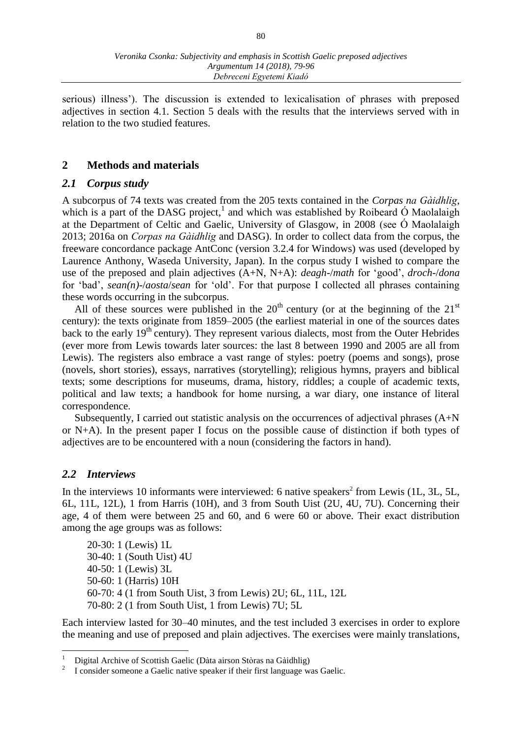serious) illness'). The discussion is extended to lexicalisation of phrases with preposed adjectives in section 4.1. Section 5 deals with the results that the interviews served with in relation to the two studied features.

# **2 Methods and materials**

# *2.1 Corpus study*

A subcorpus of 74 texts was created from the 205 texts contained in the *Corpas na Gàidhlig*, which is a part of the DASG project,<sup>1</sup> and which was established by Roibeard Ó Maolalaigh at the Department of Celtic and Gaelic, University of Glasgow, in 2008 (see Ó Maolalaigh 2013; 2016a on *Corpas na Gàidhlig* and DASG). In order to collect data from the corpus, the freeware concordance package AntConc (version 3.2.4 for Windows) was used (developed by Laurence Anthony, Waseda University, Japan). In the corpus study I wished to compare the use of the preposed and plain adjectives (A+N, N+A): *deagh-*/*math* for 'good', *droch-*/*dona*  for 'bad', *sean(n)-*/*aosta*/*sean* for 'old'. For that purpose I collected all phrases containing these words occurring in the subcorpus.

All of these sources were published in the  $20<sup>th</sup>$  century (or at the beginning of the  $21<sup>st</sup>$ century): the texts originate from 1859–2005 (the earliest material in one of the sources dates back to the early  $19<sup>th</sup>$  century). They represent various dialects, most from the Outer Hebrides (ever more from Lewis towards later sources: the last 8 between 1990 and 2005 are all from Lewis). The registers also embrace a vast range of styles: poetry (poems and songs), prose (novels, short stories), essays, narratives (storytelling); religious hymns, prayers and biblical texts; some descriptions for museums, drama, history, riddles; a couple of academic texts, political and law texts; a handbook for home nursing, a war diary, one instance of literal correspondence.

Subsequently, I carried out statistic analysis on the occurrences of adjectival phrases  $(A+N)$ or N+A). In the present paper I focus on the possible cause of distinction if both types of adjectives are to be encountered with a noun (considering the factors in hand).

# *2.2 Interviews*

 $\overline{a}$ 

In the interviews 10 informants were interviewed: 6 native speakers<sup>2</sup> from Lewis (1L, 3L, 5L, 6L, 11L, 12L), 1 from Harris (10H), and 3 from South Uist (2U, 4U, 7U). Concerning their age, 4 of them were between 25 and 60, and 6 were 60 or above. Their exact distribution among the age groups was as follows:

20-30: 1 (Lewis) 1L 30-40: 1 (South Uist) 4U 40-50: 1 (Lewis) 3L 50-60: 1 (Harris) 10H 60-70: 4 (1 from South Uist, 3 from Lewis) 2U; 6L, 11L, 12L 70-80: 2 (1 from South Uist, 1 from Lewis) 7U; 5L

Each interview lasted for 30–40 minutes, and the test included 3 exercises in order to explore the meaning and use of preposed and plain adjectives. The exercises were mainly translations,

<sup>1</sup> Digital Archive of Scottish Gaelic (Dàta airson Stòras na Gàidhlig)

<sup>2</sup> I consider someone a Gaelic native speaker if their first language was Gaelic.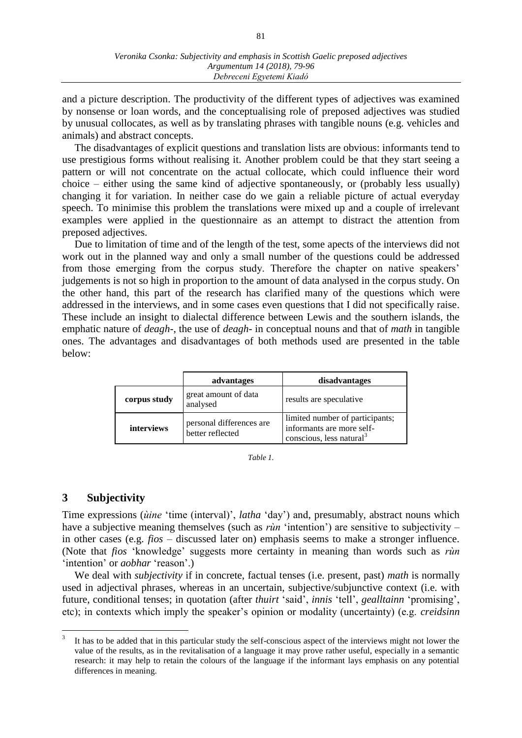and a picture description. The productivity of the different types of adjectives was examined by nonsense or loan words, and the conceptualising role of preposed adjectives was studied by unusual collocates, as well as by translating phrases with tangible nouns (e.g. vehicles and animals) and abstract concepts.

The disadvantages of explicit questions and translation lists are obvious: informants tend to use prestigious forms without realising it. Another problem could be that they start seeing a pattern or will not concentrate on the actual collocate, which could influence their word choice – either using the same kind of adjective spontaneously, or (probably less usually) changing it for variation. In neither case do we gain a reliable picture of actual everyday speech. To minimise this problem the translations were mixed up and a couple of irrelevant examples were applied in the questionnaire as an attempt to distract the attention from preposed adjectives.

Due to limitation of time and of the length of the test, some apects of the interviews did not work out in the planned way and only a small number of the questions could be addressed from those emerging from the corpus study. Therefore the chapter on native speakers' judgements is not so high in proportion to the amount of data analysed in the corpus study. On the other hand, this part of the research has clarified many of the questions which were addressed in the interviews, and in some cases even questions that I did not specifically raise. These include an insight to dialectal difference between Lewis and the southern islands, the emphatic nature of *deagh-*, the use of *deagh-* in conceptual nouns and that of *math* in tangible ones. The advantages and disadvantages of both methods used are presented in the table below:

|                   | advantages                                   | disadvantages                                                                                        |
|-------------------|----------------------------------------------|------------------------------------------------------------------------------------------------------|
| corpus study      | great amount of data<br>analysed             | results are speculative                                                                              |
| <i>interviews</i> | personal differences are<br>better reflected | limited number of participants;<br>informants are more self-<br>conscious, less natural <sup>3</sup> |

*Table 1.*

# **3 Subjectivity**

Time expressions (*ùine* 'time (interval)', *latha* 'day') and, presumably, abstract nouns which have a subjective meaning themselves (such as *rùn* 'intention') are sensitive to subjectivity – in other cases (e.g. *fios* – discussed later on) emphasis seems to make a stronger influence. (Note that *fios* 'knowledge' suggests more certainty in meaning than words such as *rùn* ʻintention' or *aobhar* ʻreason'.)

We deal with *subjectivity* if in concrete, factual tenses (i.e. present, past) *math* is normally used in adjectival phrases, whereas in an uncertain, subjective/subjunctive context (i.e. with future, conditional tenses; in quotation (after *thuirt* 'said', *innis* 'tell', *gealltainn* 'promising', etc); in contexts which imply the speaker's opinion or modality (uncertainty) (e.g. *creidsinn*

<sup>&</sup>lt;sup>2</sup><br>3 It has to be added that in this particular study the self-conscious aspect of the interviews might not lower the value of the results, as in the revitalisation of a language it may prove rather useful, especially in a semantic research: it may help to retain the colours of the language if the informant lays emphasis on any potential differences in meaning.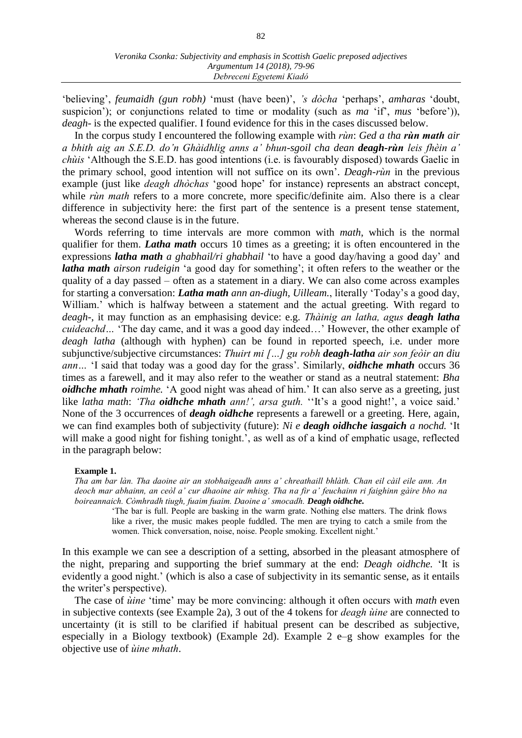'believing', *feumaidh (gun robh)* 'must (have been)', *'s dòcha* 'perhaps', *amharas* 'doubt, suspicion'); or conjunctions related to time or modality (such as *ma* 'if', *mus* 'before')), *deagh-* is the expected qualifier. I found evidence for this in the cases discussed below.

In the corpus study I encountered the following example with *rùn*: *Ged a tha rùn math air a bhith aig an S.E.D. do'n Ghàidhlig anns a' bhun-sgoil cha dean deagh-rùn leis fhèin a' chùis* 'Although the S.E.D. has good intentions (i.e. is favourably disposed) towards Gaelic in the primary school, good intention will not suffice on its own'*. Deagh-rùn* in the previous example (just like *deagh dhòchas* 'good hope' for instance) represents an abstract concept, while *rùn math* refers to a more concrete, more specific/definite aim. Also there is a clear difference in subjectivity here: the first part of the sentence is a present tense statement, whereas the second clause is in the future.

Words referring to time intervals are more common with *math*, which is the normal qualifier for them. *Latha math* occurs 10 times as a greeting; it is often encountered in the expressions *latha math a ghabhail/ri ghabhail* 'to have a good day/having a good day' and *latha math airson rudeigin* 'a good day for something'; it often refers to the weather or the quality of a day passed – often as a statement in a diary. We can also come across examples for starting a conversation: *Latha math ann an-diugh, Uilleam.*, literally 'Today's a good day, William.' which is halfway between a statement and the actual greeting. With regard to *deagh-*, it may function as an emphasising device: e.g. *Thàinig an latha, agus deagh latha cuideachd…* 'The day came, and it was a good day indeed…' However, the other example of *deagh latha* (although with hyphen) can be found in reported speech, i.e. under more subjunctive/subjective circumstances: *Thuirt mi […] gu robh deagh-latha air son feòir an diu ann…* 'I said that today was a good day for the grass'. Similarly, *oidhche mhath* occurs 36 times as a farewell, and it may also refer to the weather or stand as a neutral statement: *Bha oidhche mhath roimhe.* 'A good night was ahead of him.' It can also serve as a greeting, just like *latha math*: *'Tha oidhche mhath ann!', arsa guth. ''It's a good night!', a voice said.'* None of the 3 occurrences of *deagh oidhche* represents a farewell or a greeting. Here, again, we can find examples both of subjectivity (future): *Ni e deagh oidhche iasgaich a nochd.* 'It will make a good night for fishing tonight.', as well as of a kind of emphatic usage, reflected in the paragraph below:

#### **Example 1.**

*Tha am bar làn. Tha daoine air an stobhaigeadh anns a' chreathaill bhlàth. Chan eil càil eile ann. An deoch mar abhainn, an ceòl a' cur dhaoine air mhisg. Tha na fir a' feuchainn ri faighinn gàire bho na boireannaich. Còmhradh tiugh, fuaim fuaim. Daoine a' smocadh. Deagh oidhche.*

'The bar is full. People are basking in the warm grate. Nothing else matters. The drink flows like a river, the music makes people fuddled. The men are trying to catch a smile from the women. Thick conversation, noise, noise. People smoking. Excellent night.'

In this example we can see a description of a setting, absorbed in the pleasant atmosphere of the night, preparing and supporting the brief summary at the end: *Deagh oidhche.* 'It is evidently a good night.' (which is also a case of subjectivity in its semantic sense, as it entails the writer's perspective).

The case of *ùine* 'time' may be more convincing: although it often occurs with *math* even in subjective contexts (see Example 2a), 3 out of the 4 tokens for *deagh ùine* are connected to uncertainty (it is still to be clarified if habitual present can be described as subjective, especially in a Biology textbook) (Example 2d). Example 2 e–g show examples for the objective use of *ùine mhath*.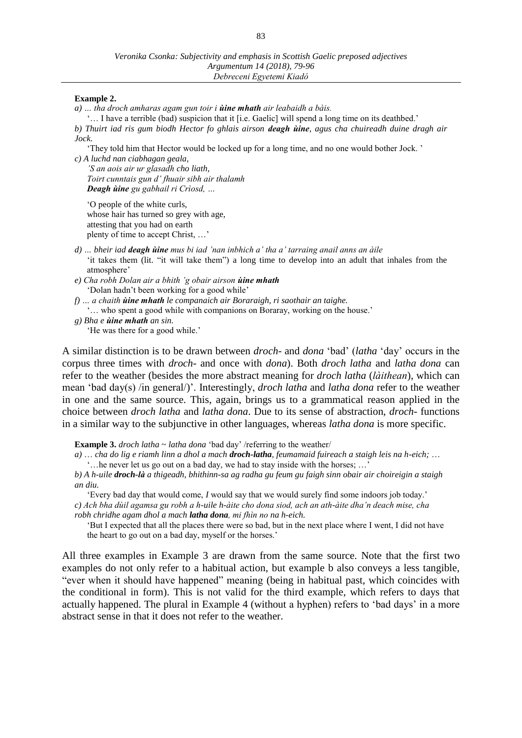# **Example 2.**

*a) … tha droch amharas agam gun toir i ùine mhath air leabaidh a bàis.* 

'… I have a terrible (bad) suspicion that it [i.e. Gaelic] will spend a long time on its deathbed.' *b) Thuirt iad ris gum biodh Hector fo ghlais airson deagh ùine, agus cha chuireadh duine dragh air Jock.* 

'They told him that Hector would be locked up for a long time, and no one would bother Jock. '

*c) A luchd nan ciabhagan geala,*

*'S an aois air ur glasadh cho liath, Toirt cunntais gun d' fhuair sibh air thalamh Deagh ùine gu gabhail ri Crìosd, …*

'O people of the white curls, whose hair has turned so grey with age, attesting that you had on earth plenty of time to accept Christ, …'

- *d) … bheir iad deagh ùine mus bi iad 'nan inbhich a' tha a' tarraing anail anns an àile* 'it takes them (lit. "it will take them") a long time to develop into an adult that inhales from the atmosphere'
- *e) Cha robh Dolan air a bhith 'g obair airson ùine mhath* 'Dolan hadn't been working for a good while'
- *f) … a chaith ùine mhath le companaich air Boraraigh, ri saothair an taighe.* 
	- '… who spent a good while with companions on Boraray, working on the house.'
- *g) Bha e ùine mhath an sin.*  'He was there for a good while.'

A similar distinction is to be drawn between *droch-* and *dona* ʻbad' (*latha* ʻday' occurs in the corpus three times with *droch-* and once with *dona*). Both *droch latha* and *latha dona* can refer to the weather (besides the more abstract meaning for *droch latha* (*làithean*), which can mean 'bad day(s) /in general/)'. Interestingly, *droch latha* and *latha dona* refer to the weather in one and the same source. This, again, brings us to a grammatical reason applied in the choice between *droch latha* and *latha dona*. Due to its sense of abstraction, *droch-* functions in a similar way to the subjunctive in other languages, whereas *latha dona* is more specific.

**Example 3.** *droch latha* ~ *latha dona* 'bad day' /referring to the weather/

*a)* … *cha do lig e riamh linn a dhol a mach droch-latha, feumamaid fuireach a staigh leis na h-eich;* … '…he never let us go out on a bad day, we had to stay inside with the horses; …'

*b) A h-uile droch-là a thigeadh, bhithinn-sa ag radha gu feum gu faigh sinn obair air choireigin a staigh an diu.*

'Every bad day that would come, *I* would say that we would surely find some indoors job today.' *c) Ach bha dùil agamsa gu robh a h-uile h-àite cho dona siod, ach an ath-àite dha'n deach mise, cha robh chridhe agam dhol a mach latha dona, mi fhìn no na h-eich.* 

'But I expected that all the places there were so bad, but in the next place where I went, I did not have the heart to go out on a bad day, myself or the horses.'

All three examples in Example 3 are drawn from the same source. Note that the first two examples do not only refer to a habitual action, but example b also conveys a less tangible, "ever when it should have happened" meaning (being in habitual past, which coincides with the conditional in form). This is not valid for the third example, which refers to days that actually happened. The plural in Example 4 (without a hyphen) refers to 'bad days' in a more abstract sense in that it does not refer to the weather.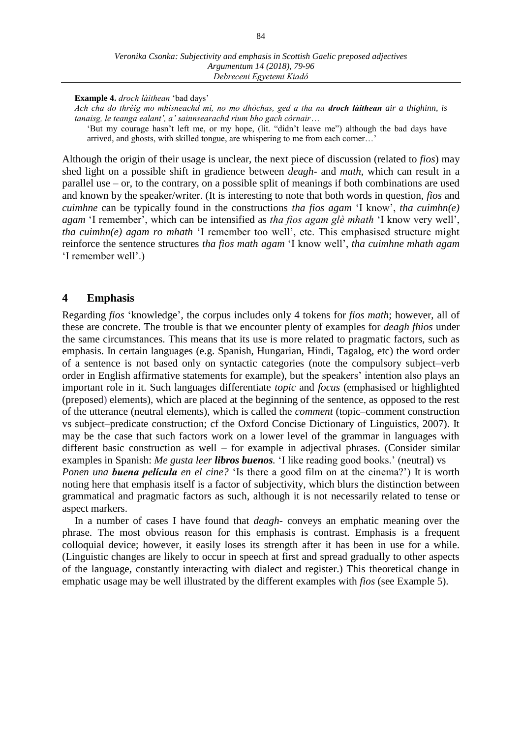**Example 4.** *droch làithean* 'bad days'

*Ach cha do thrèig mo mhisneachd mi, no mo dhòchas, ged a tha na droch làithean air a thighinn, is tanaisg, le teanga ealant', a' sainnsearachd rium bho gach còrnair*…

'But my courage hasn't left me, or my hope, (lit. "didn't leave me") although the bad days have arrived, and ghosts, with skilled tongue, are whispering to me from each corner…'

Although the origin of their usage is unclear, the next piece of discussion (related to *fios*) may shed light on a possible shift in gradience between *deagh-* and *math*, which can result in a parallel use – or, to the contrary, on a possible split of meanings if both combinations are used and known by the speaker/writer. (It is interesting to note that both words in question, *fios* and *cuimhne* can be typically found in the constructions *tha fios agam* 'I know', *tha cuimhn(e) agam* 'I remember', which can be intensified as *tha fios agam glè mhath* 'I know very well', *tha cuimhn(e) agam ro mhath* 'I remember too well', etc. This emphasised structure might reinforce the sentence structures *tha fios math agam* 'I know well', *tha cuimhne mhath agam*  'I remember well'.)

# **4 Emphasis**

Regarding *fios* 'knowledge', the corpus includes only 4 tokens for *fios math*; however, all of these are concrete. The trouble is that we encounter plenty of examples for *deagh fhios* under the same circumstances. This means that its use is more related to pragmatic factors, such as emphasis. In certain languages (e.g. Spanish, Hungarian, Hindi, Tagalog, etc) the word order of a sentence is not based only on syntactic categories (note the compulsory subject–verb order in English affirmative statements for example), but the speakers' intention also plays an important role in it. Such languages differentiate *topic* and *focus* (emphasised or highlighted (preposed) elements), which are placed at the beginning of the sentence, as opposed to the rest of the utterance (neutral elements), which is called the *comment* (topic–comment construction vs subject–predicate construction; cf the Oxford Concise Dictionary of Linguistics, 2007). It may be the case that such factors work on a lower level of the grammar in languages with different basic construction as well – for example in adjectival phrases. (Consider similar examples in Spanish: *Me gusta leer libros buenos.* 'I like reading good books.' (neutral) vs *Ponen una buena película en el cine?* ʻIs there a good film on at the cinema?') It is worth noting here that emphasis itself is a factor of subjectivity, which blurs the distinction between

grammatical and pragmatic factors as such, although it is not necessarily related to tense or aspect markers.

In a number of cases I have found that *deagh-* conveys an emphatic meaning over the phrase. The most obvious reason for this emphasis is contrast. Emphasis is a frequent colloquial device; however, it easily loses its strength after it has been in use for a while. (Linguistic changes are likely to occur in speech at first and spread gradually to other aspects of the language, constantly interacting with dialect and register.) This theoretical change in emphatic usage may be well illustrated by the different examples with *fios* (see Example 5).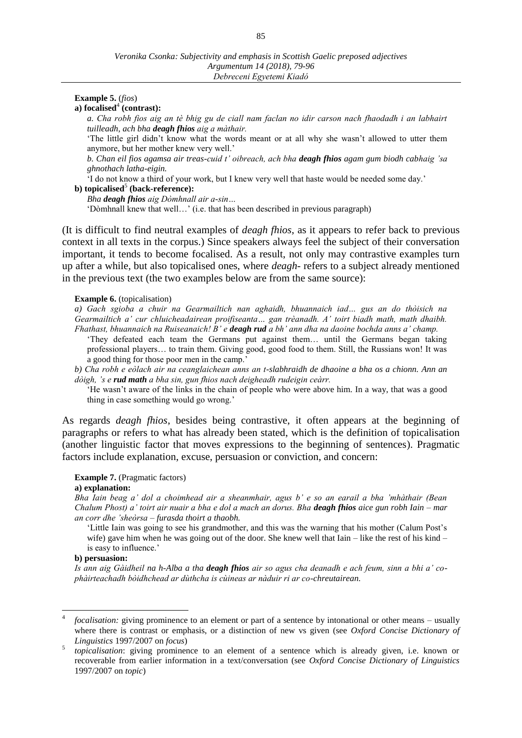# **Example 5.** (*fios*)

# a) focalised<sup>4</sup> (contrast):

*a. Cha robh fios aig an tè bhig gu de ciall nam faclan no idir carson nach fhaodadh i an labhairt tuilleadh, ach bha deagh fhios aig a màthair.* 

'The little girl didn't know what the words meant or at all why she wasn't allowed to utter them anymore, but her mother knew very well.'

*b. Chan eil fios agamsa air treas-cuid t' oibreach, ach bha deagh fhios agam gum biodh cabhaig 'sa ghnothach latha-eigin.*

'I do not know a third of your work, but I knew very well that haste would be needed some day.'

# **b**) topicalised<sup>5</sup> (back-reference):

*Bha deagh fhios aig Dòmhnall air a-sin…*

'Dòmhnall knew that well…' (i.e. that has been described in previous paragraph)

(It is difficult to find neutral examples of *deagh fhios*, as it appears to refer back to previous context in all texts in the corpus.) Since speakers always feel the subject of their conversation important, it tends to become focalised. As a result, not only may contrastive examples turn up after a while, but also topicalised ones, where *deagh-* refers to a subject already mentioned in the previous text (the two examples below are from the same source):

#### **Example 6.** (topicalisation)

*a) Gach sgioba a chuir na Gearmailtich nan aghaidh, bhuannaich iad… gus an do thòisich na Gearmailtich a' cur chluicheadairean proifiseanta… gan trèanadh. A' toirt biadh math, math dhaibh. Fhathast, bhuannaich na Ruiseanaich! B' e deagh rud a bh' ann dha na daoine bochda anns a' champ.* 

ʻThey defeated each team the Germans put against them… until the Germans began taking professional players… to train them. Giving good, good food to them. Still, the Russians won! It was a good thing for those poor men in the camp.'

*b) Cha robh e eòlach air na ceanglaichean anns an t-slabhraidh de dhaoine a bha os a chionn. Ann an dòigh, 's e rud math a bha sin, gun fhios nach deigheadh rudeigin ceàrr.*

'He wasn't aware of the links in the chain of people who were above him. In a way, that was a good thing in case something would go wrong.'

As regards *deagh fhios*, besides being contrastive, it often appears at the beginning of paragraphs or refers to what has already been stated, which is the definition of topicalisation (another linguistic factor that moves expressions to the beginning of sentences). Pragmatic factors include explanation, excuse, persuasion or conviction, and concern:

# **Example 7.** (Pragmatic factors)

### **a) explanation:**

*Bha Iain beag a' dol a choimhead air a sheanmhair, agus b' e so an earail a bha 'mhàthair (Bean Chalum Phost) a' toirt air nuair a bha e dol a mach an dorus. Bha deagh fhios aice gun robh Iain – mar an corr dhe 'sheòrsa – furasda thoirt a thaobh.* 

'Little Iain was going to see his grandmother, and this was the warning that his mother (Calum Post's wife) gave him when he was going out of the door. She knew well that Iain – like the rest of his kind – is easy to influence.'

### **b) persuasion:**

 $\overline{a}$ 

*Is ann aig Gàidheil na h-Alba a tha deagh fhios air so agus cha deanadh e ach feum, sinn a bhi a' cophàirteachadh bòidhchead ar dùthcha is cùineas ar nàduir ri ar co-chreutairean.*

<sup>4</sup> *focalisation:* giving prominence to an element or part of a sentence by intonational or other means – usually where there is contrast or emphasis, or a distinction of new vs given (see *Oxford Concise Dictionary of Linguistics* 1997/2007 on *focus*)

<sup>5</sup> *topicalisation*: giving prominence to an element of a sentence which is already given, i.e. known or recoverable from earlier information in a text/conversation (see *Oxford Concise Dictionary of Linguistics* 1997/2007 on *topic*)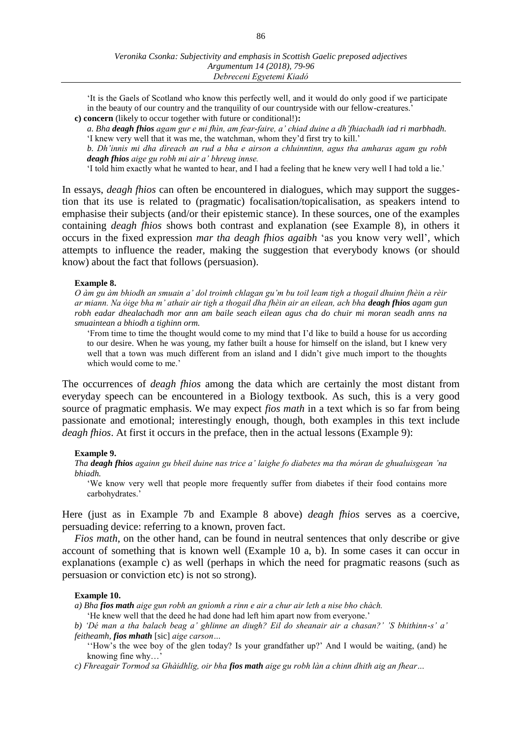'It is the Gaels of Scotland who know this perfectly well, and it would do only good if we participate in the beauty of our country and the tranquility of our countryside with our fellow-creatures.'

**c) concern** (likely to occur together with future or conditional!)**:**

*a. Bha deagh fhios agam gur e mi fhìn, am fear-faire, a' chiad duine a dh'fhiachadh iad ri marbhadh.*  'I knew very well that it was me, the watchman, whom they'd first try to kill.'

*b. Dh'innis mi dha dìreach an rud a bha e airson a chluinntinn, agus tha amharas agam gu robh deagh fhios aige gu robh mi air a' bhreug innse.* 

'I told him exactly what he wanted to hear, and I had a feeling that he knew very well I had told a lie.'

In essays, *deagh fhios* can often be encountered in dialogues, which may support the suggestion that its use is related to (pragmatic) focalisation/topicalisation, as speakers intend to emphasise their subjects (and/or their epistemic stance). In these sources, one of the examples containing *deagh fhios* shows both contrast and explanation (see Example 8), in others it occurs in the fixed expression *mar tha deagh fhios agaibh* 'as you know very well', which attempts to influence the reader, making the suggestion that everybody knows (or should know) about the fact that follows (persuasion).

### **Example 8.**

*O àm gu àm bhiodh an smuain a' dol troimh chlagan gu'm bu toil leam tigh a thogail dhuinn fhèin a rèir ar miann. Na òige bha m' athair air tigh a thogail dha fhèin air an eilean, ach bha deagh fhios agam gun robh eadar dhealachadh mor ann am baile seach eilean agus cha do chuir mi moran seadh anns na smuaintean a bhiodh a tighinn orm.* 

'From time to time the thought would come to my mind that I'd like to build a house for us according to our desire. When he was young, my father built a house for himself on the island, but I knew very well that a town was much different from an island and I didn't give much import to the thoughts which would come to me.'

The occurrences of *deagh fhios* among the data which are certainly the most distant from everyday speech can be encountered in a Biology textbook. As such, this is a very good source of pragmatic emphasis. We may expect *fios math* in a text which is so far from being passionate and emotional; interestingly enough, though, both examples in this text include *deagh fhios*. At first it occurs in the preface, then in the actual lessons (Example 9):

# **Example 9.**

*Tha deagh fhios againn gu bheil duine nas trice a' laighe fo diabetes ma tha móran de ghualuisgean 'na bhiadh.*

'We know very well that people more frequently suffer from diabetes if their food contains more carbohydrates.'

Here (just as in Example 7b and Example 8 above) *deagh fhios* serves as a coercive, persuading device: referring to a known, proven fact.

*Fios math*, on the other hand, can be found in neutral sentences that only describe or give account of something that is known well (Example 10 a, b). In some cases it can occur in explanations (example c) as well (perhaps in which the need for pragmatic reasons (such as persuasion or conviction etc) is not so strong).

### **Example 10.**

*a) Bha fios math aige gun robh an gnìomh a rinn e air a chur air leth a nise bho chàch.* 

'He knew well that the deed he had done had left him apart now from everyone.'

*b) 'Dé man a tha balach beag a' ghlinne an diugh? Eil do sheanair air a chasan?' 'S bhithinn-s' a' feitheamh, fios mhath* [sic] *aige carson…* 

''How's the wee boy of the glen today? Is your grandfather up?' And I would be waiting, (and) he knowing fine why…'

*c) Fhreagair Tormod sa Ghàidhlig, oir bha fios math aige gu robh làn a chinn dhith aig an fhear…*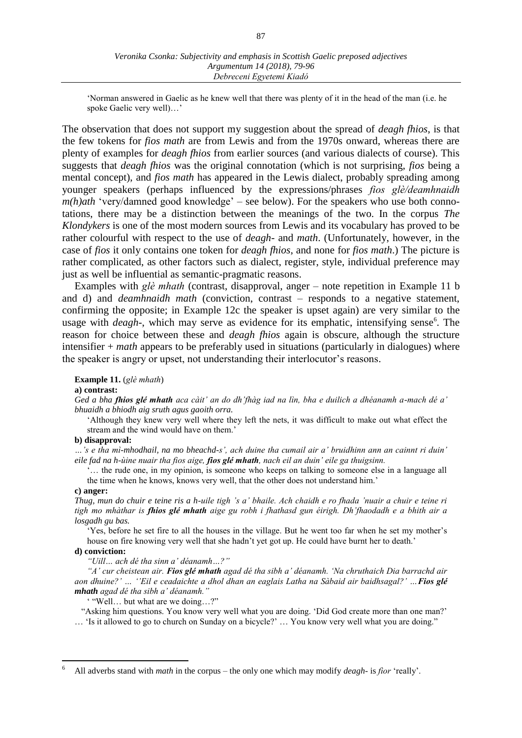'Norman answered in Gaelic as he knew well that there was plenty of it in the head of the man (i.e. he spoke Gaelic very well)…'

The observation that does not support my suggestion about the spread of *deagh fhios*, is that the few tokens for *fios math* are from Lewis and from the 1970s onward, whereas there are plenty of examples for *deagh fhios* from earlier sources (and various dialects of course). This suggests that *deagh fhios* was the original connotation (which is not surprising, *fios* being a mental concept), and *fios math* has appeared in the Lewis dialect, probably spreading among younger speakers (perhaps influenced by the expressions/phrases *fios glè/deamhnaidh m(h)ath* 'very/damned good knowledge' – see below). For the speakers who use both connotations, there may be a distinction between the meanings of the two. In the corpus *The Klondykers* is one of the most modern sources from Lewis and its vocabulary has proved to be rather colourful with respect to the use of *deagh-* and *math*. (Unfortunately, however, in the case of *fios* it only contains one token for *deagh fhios*, and none for *fios math*.) The picture is rather complicated, as other factors such as dialect, register, style, individual preference may just as well be influential as semantic-pragmatic reasons.

Examples with *glè mhath* (contrast, disapproval, anger – note repetition in Example 11 b and d) and *deamhnaidh math* (conviction, contrast – responds to a negative statement, confirming the opposite; in Example 12c the speaker is upset again) are very similar to the usage with *deagh*-, which may serve as evidence for its emphatic, intensifying sense<sup>6</sup>. The reason for choice between these and *deagh fhios* again is obscure, although the structure intensifier + *math* appears to be preferably used in situations (particularly in dialogues) where the speaker is angry or upset, not understanding their interlocutor's reasons.

**Example 11.** (*glè mhath*)

#### **a) contrast:**

*Ged a bha fhios glé mhath aca càit' an do dh'fhàg iad na lìn, bha e duilich a dhéanamh a-mach dé a' bhuaidh a bhiodh aig sruth agus gaoith orra.*

'Although they knew very well where they left the nets, it was difficult to make out what effect the stream and the wind would have on them.'

#### **b) disapproval:**

*…'s e tha mì-mhodhail, na mo bheachd-s', ach duine tha cumail air a' bruidhinn ann an cainnt ri duin' eile fad na h-ùine nuair tha fios aige, fios glé mhath, nach eil an duin' eile ga thuigsinn.* 

... the rude one, in my opinion, is someone who keeps on talking to someone else in a language all the time when he knows, knows very well, that the other does not understand him.'

# **c) anger:**

*Thug, mun do chuir e teine ris a h-uile tigh 's a' bhaile. Ach chaidh e ro fhada 'nuair a chuir e teine ri tigh mo mhàthar is fhios glé mhath aige gu robh i fhathasd gun éirigh. Dh'fhaodadh e a bhith air a losgadh gu bas.* 

'Yes, before he set fire to all the houses in the village. But he went too far when he set my mother's house on fire knowing very well that she hadn't yet got up. He could have burnt her to death.'

#### **d) conviction:**

 $\overline{a}$ 

*"Uill… ach dé tha sinn a' déanamh…?"*

*"A' cur cheistean air. Fios glé mhath agad dé tha sibh a' déanamh. 'Na chruthaich Dia barrachd air aon dhuine?' … ''Eil e ceadaichte a dhol dhan an eaglais Latha na Sàbaid air baidhsagal?' …Fios glé mhath agad dé tha sibh a' déanamh."*

' "Well… but what are we doing…?"

 "Asking him questions. You know very well what you are doing. 'Did God create more than one man?' … 'Is it allowed to go to church on Sunday on a bicycle?' … You know very well what you are doing."

<sup>6</sup> All adverbs stand with *math* in the corpus – the only one which may modify *deagh-* is *fìor* ʻreally'.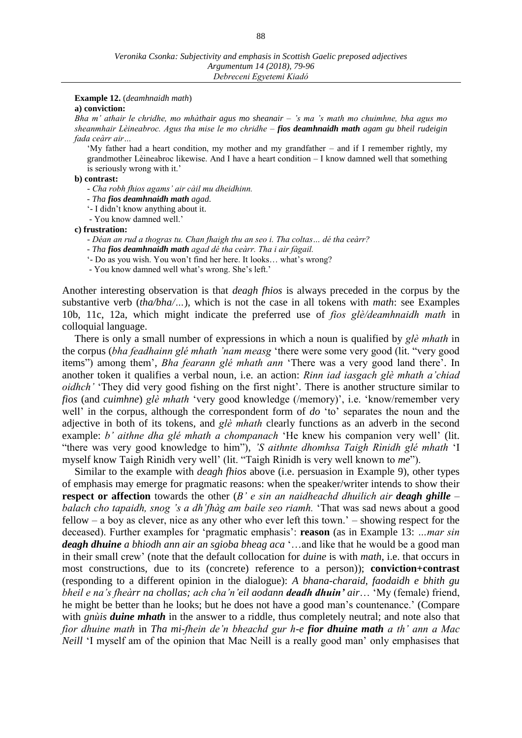### **Example 12.** (*deamhnaidh math*)

#### **a) conviction:**

*Bha m' athair le chridhe, mo mhàthair agus mo sheanair – 's ma 's math mo chuimhne, bha agus mo sheanmhair Lèineabroc. Agus tha mise le mo chridhe – fios deamhnaidh math agam gu bheil rudeigin fada ceàrr air…* 

'My father had a heart condition, my mother and my grandfather – and if I remember rightly, my grandmother Lèineabroc likewise. And I have a heart condition – I know damned well that something is seriously wrong with it.'

#### **b) contrast:**

- *- Cha robh fhios agams' air càil mu dheidhinn.*
- *- Tha fios deamhnaidh math agad.*
- '- I didn't know anything about it.
- You know damned well.'

**c) frustration:**

- *- Déan an rud a thogras tu. Chan fhaigh thu an seo i. Tha coltas… dé tha ceàrr?*
- *- Tha fios deamhnaidh math agad dé tha ceàrr. Tha i air fàgail.*
- '- Do as you wish. You won't find her here. It looks… what's wrong?
- You know damned well what's wrong. She's left.'

Another interesting observation is that *deagh fhios* is always preceded in the corpus by the substantive verb (*tha/bha/…*), which is not the case in all tokens with *math*: see Examples 10b, 11c, 12a, which might indicate the preferred use of *fios glè/deamhnaidh math* in colloquial language.

There is only a small number of expressions in which a noun is qualified by *glè mhath* in the corpus (*bha feadhainn glé mhath 'nam measg* ʻthere were some very good (lit. "very good items") among them', *Bha fearann glé mhath ann* ʻThere was a very good land there'. In another token it qualifies a verbal noun, i.e. an action: *Rinn iad iasgach glè mhath a'chiad oidhch'* ʻThey did very good fishing on the first night'. There is another structure similar to *fios* (and *cuimhne*) *glè mhath* ʻvery good knowledge (/memory)', i.e. ʻknow/remember very well' in the corpus, although the correspondent form of *do* ʻto' separates the noun and the adjective in both of its tokens, and *glè mhath* clearly functions as an adverb in the second example: *b' aithne dha glé mhath a chompanach* ʻHe knew his companion very well' (lit. "there was very good knowledge to him"), *'S aithnte dhomhsa Taigh Rìnidh glé mhath* ʻI myself know Taigh Rìnidh very well' (lit. "Taigh Rìnidh is very well known to *me*").

Similar to the example with *deagh fhios* above (i.e. persuasion in Example 9), other types of emphasis may emerge for pragmatic reasons: when the speaker/writer intends to show their **respect or affection** towards the other (*B' e sin an naidheachd dhuilich air deagh ghille – balach cho tapaidh, snog 's a dh'fhàg am baile seo riamh.* 'That was sad news about a good fellow – a boy as clever, nice as any other who ever left this town.' – showing respect for the deceased). Further examples for 'pragmatic emphasis': **reason** (as in Example 13: *…mar sin deagh dhuine a bhiodh ann air an sgioba bheag aca* '…and like that he would be a good man in their small crew' (note that the default collocation for *duine* is with *math*, i.e. that occurs in most constructions, due to its (concrete) reference to a person)); **conviction+contrast** (responding to a different opinion in the dialogue): *A bhana-charaid, faodaidh e bhith gu bheil e na's fheàrr na chollas; ach cha'n'eil aodann deadh dhuin' air*… 'My (female) friend, he might be better than he looks; but he does not have a good man's countenance.' (Compare with *gnùis duine mhath* in the answer to a riddle, thus completely neutral; and note also that *fìor dhuine math* in *Tha mi-fhein de'n bheachd gur h-e fior dhuine math a th' ann a Mac Neill* 'I myself am of the opinion that Mac Neill is a really good man' only emphasises that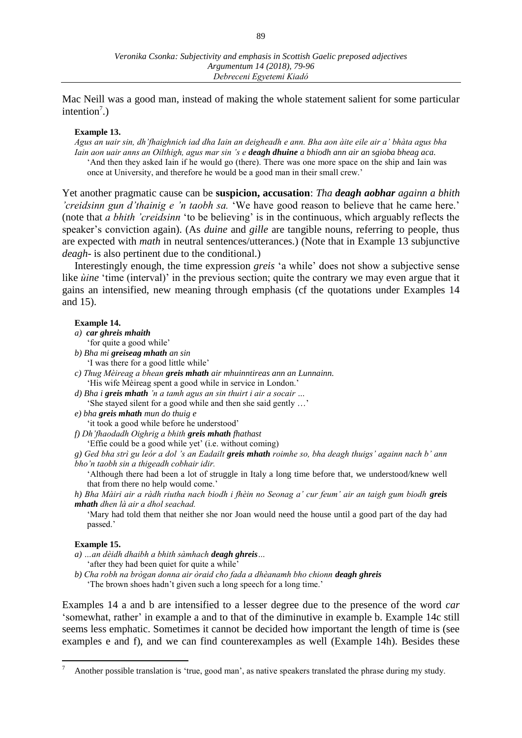Mac Neill was a good man, instead of making the whole statement salient for some particular intention<sup>7</sup>.)

# **Example 13.**

*Agus an uair sin, dh'fhaighnich iad dha Iain an deigheadh e ann. Bha aon àite eile air a' bhàta agus bha*  Iain aon uair anns an Oilthigh, agus mar sin 's e **deagh dhuine** a bhiodh ann air an sgioba bheag aca. 'And then they asked Iain if he would go (there). There was one more space on the ship and Iain was once at University, and therefore he would be a good man in their small crew.'

Yet another pragmatic cause can be **suspicion, accusation**: *Tha deagh aobhar againn a bhith 'creidsinn gun d'thainig e 'n taobh sa.* 'We have good reason to believe that he came here.' (note that *a bhith 'creidsinn* 'to be believing' is in the continuous, which arguably reflects the speaker's conviction again). (As *duine* and *gille* are tangible nouns, referring to people, thus are expected with *math* in neutral sentences/utterances.) (Note that in Example 13 subjunctive *deagh-* is also pertinent due to the conditional.)

Interestingly enough, the time expression *greis* 'a while' does not show a subjective sense like *ùine* 'time (interval)' in the previous section; quite the contrary we may even argue that it gains an intensified, new meaning through emphasis (cf the quotations under Examples 14 and 15).

# **Example 14.**

#### *a) car ghreis mhaith*

- 'for quite a good while'
- *b) Bha mi greiseag mhath an sin*
	- 'I was there for a good little while'
- *c) Thug Mèireag a bhean greis mhath air mhuinntireas ann an Lunnainn.*  'His wife Mèireag spent a good while in service in London.'
- *d) Bha i greis mhath 'n a tamh agus an sin thuirt i air a socair …*
- 'She stayed silent for a good while and then she said gently …'
- *e) bha greis mhath mun do thuig e* 
	- 'it took a good while before he understood'
- *f) Dh'fhaodadh Oighrig a bhith greis mhath fhathast* 
	- 'Effie could be a good while yet' (i.e. without coming)
- *g) Ged bha strì gu leór a dol 's an Eadailt greis mhath roimhe so, bha deagh thuigs' againn nach b' ann bho'n taobh sin a thigeadh cobhair idir.*

'Although there had been a lot of struggle in Italy a long time before that, we understood/knew well that from there no help would come.'

*h) Bha Màiri air a ràdh riutha nach biodh i fhèin no Seonag a' cur feum' air an taigh gum biodh greis mhath dhen là air a dhol seachad.* 

'Mary had told them that neither she nor Joan would need the house until a good part of the day had passed.'

# **Example 15.**

 $\overline{a}$ 

- *a) …an dèidh dhaibh a bhith sàmhach deagh ghreis…* 'after they had been quiet for quite a while'
- *b) Cha robh na brògan donna air òraid cho fada a dhèanamh bho chionn deagh ghreis* 'The brown shoes hadn't given such a long speech for a long time.'

Examples 14 a and b are intensified to a lesser degree due to the presence of the word *car*  ʻsomewhat, rather' in example a and to that of the diminutive in example b. Example 14c still seems less emphatic. Sometimes it cannot be decided how important the length of time is (see examples e and f), and we can find counterexamples as well (Example 14h). Besides these

<sup>7</sup> Another possible translation is 'true, good man', as native speakers translated the phrase during my study.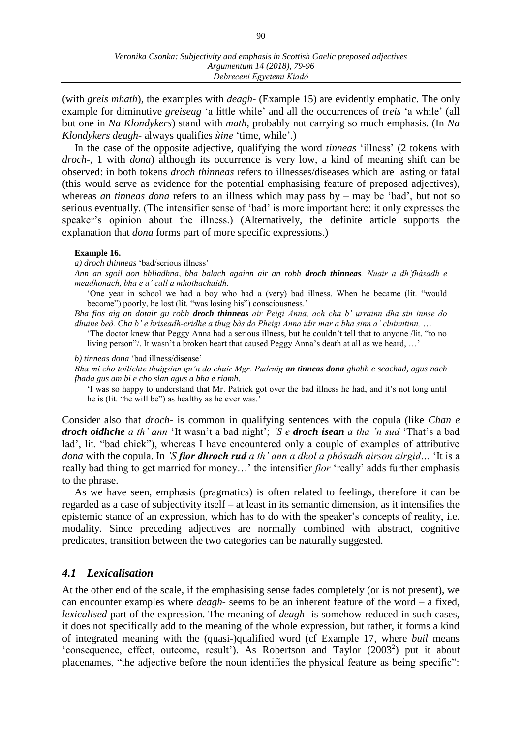(with *greis mhath*), the examples with *deagh-* (Example 15) are evidently emphatic. The only example for diminutive *greiseag* ʻa little while' and all the occurrences of *treis* ʻa while' (all but one in *Na Klondykers*) stand with *math*, probably not carrying so much emphasis. (In *Na Klondykers deagh-* always qualifies *ùine* ʻtime, while'.)

In the case of the opposite adjective, qualifying the word *tinneas* 'illness' (2 tokens with *droch-*, 1 with *dona*) although its occurrence is very low, a kind of meaning shift can be observed: in both tokens *droch thinneas* refers to illnesses/diseases which are lasting or fatal (this would serve as evidence for the potential emphasising feature of preposed adjectives), whereas *an tinneas dona* refers to an illness which may pass by – may be 'bad', but not so serious eventually. (The intensifier sense of ʻbad' is more important here: it only expresses the speaker's opinion about the illness.) (Alternatively, the definite article supports the explanation that *dona* forms part of more specific expressions.)

# **Example 16.**

*a) droch thinneas* 'bad/serious illness'

*Ann an sgoil aon bhliadhna, bha balach againn air an robh droch thinneas. Nuair a dh'fhàsadh e meadhonach, bha e a' call a mhothachaidh.*

'One year in school we had a boy who had a (very) bad illness. When he became (lit. "would become") poorly, he lost (lit. "was losing his") consciousness.'

*Bha fios aig an dotair gu robh droch thinneas air Peigi Anna, ach cha b' urrainn dha sin innse do dhuine beò. Cha b' e briseadh-cridhe a thug bàs do Pheigi Anna idir mar a bha sinn a' cluinntinn,* …

'The doctor knew that Peggy Anna had a serious illness, but he couldn't tell that to anyone /lit. "to no living person"/. It wasn't a broken heart that caused Peggy Anna's death at all as we heard, …'

*b) tinneas dona* 'bad illness/disease'

*Bha mi cho toilichte thuigsinn gu'n do chuir Mgr. Padruig an tinneas dona ghabh e seachad, agus nach fhada gus am bi e cho slan agus a bha e riamh.*

'I was so happy to understand that Mr. Patrick got over the bad illness he had, and it's not long until he is (lit. "he will be") as healthy as he ever was.'

Consider also that *droch-* is common in qualifying sentences with the copula (like *Chan e droch oidhche a th' ann* 'It wasn't a bad night'; *'S e droch isean a tha 'n sud* 'That's a bad lad', lit. "bad chick"), whereas I have encountered only a couple of examples of attributive *dona* with the copula. In *'S fìor dhroch rud a th' ann a dhol a phòsadh airson airgid…* 'It is a really bad thing to get married for money…' the intensifier *fìor* ʻreally' adds further emphasis to the phrase.

As we have seen, emphasis (pragmatics) is often related to feelings, therefore it can be regarded as a case of subjectivity itself – at least in its semantic dimension, as it intensifies the epistemic stance of an expression, which has to do with the speaker's concepts of reality, i.e. modality. Since preceding adjectives are normally combined with abstract, cognitive predicates, transition between the two categories can be naturally suggested.

# *4.1 Lexicalisation*

At the other end of the scale, if the emphasising sense fades completely (or is not present), we can encounter examples where *deagh-* seems to be an inherent feature of the word – a fixed, *lexicalised* part of the expression. The meaning of *deagh*- is somehow reduced in such cases, it does not specifically add to the meaning of the whole expression, but rather, it forms a kind of integrated meaning with the (quasi-)qualified word (cf Example 17, where *buil* means 'consequence, effect, outcome, result'). As Robertson and Taylor  $(2003^2)$  put it about placenames, "the adjective before the noun identifies the physical feature as being specific":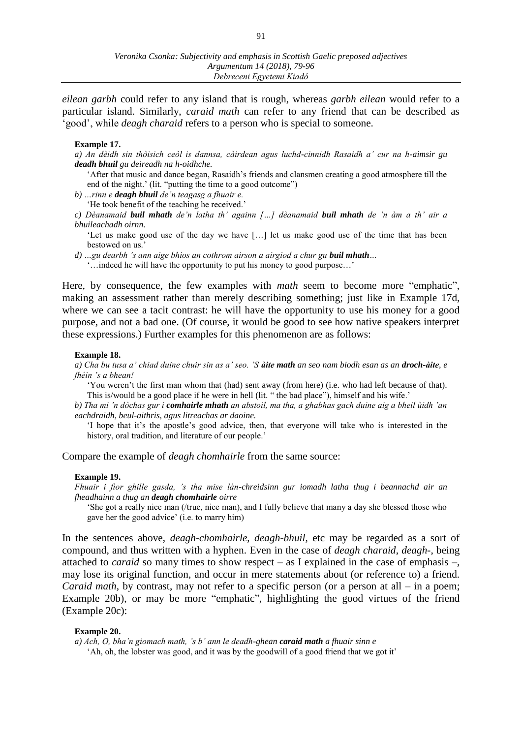*eilean garbh* could refer to any island that is rough, whereas *garbh eilean* would refer to a particular island. Similarly, *caraid math* can refer to any friend that can be described as 'good', while *deagh charaid* refers to a person who is special to someone.

### **Example 17.**

*a) An dèidh sin thòisich ceòl is dannsa, càirdean agus luchd-cinnidh Rasaidh a' cur na h-aimsir gu deadh bhuil gu deireadh na h-oidhche.* 

'After that music and dance began, Rasaidh's friends and clansmen creating a good atmosphere till the end of the night.' (lit. "putting the time to a good outcome")

*b) …rinn e deagh bhuil de'n teagasg a fhuair e.* 

'He took benefit of the teaching he received.'

*c) Dèanamaid buil mhath de'n latha th' againn […] dèanamaid buil mhath de 'n àm a th' air a bhuileachadh oirnn.*

'Let us make good use of the day we have […] let us make good use of the time that has been bestowed on us.'

*d) …gu dearbh 's ann aige bhios an cothrom airson a airgiod a chur gu buil mhath…*

'…indeed he will have the opportunity to put his money to good purpose…'

Here, by consequence, the few examples with *math* seem to become more "emphatic", making an assessment rather than merely describing something; just like in Example 17d, where we can see a tacit contrast: he will have the opportunity to use his money for a good purpose, and not a bad one. (Of course, it would be good to see how native speakers interpret these expressions.) Further examples for this phenomenon are as follows:

#### **Example 18.**

*a) Cha bu tusa a' chiad duine chuir sin as a' seo. 'S àite math an seo nam biodh esan as an droch-àite, e fhéin 's a bhean!* 

'You weren't the first man whom that (had) sent away (from here) (i.e. who had left because of that). This is/would be a good place if he were in hell (lit. " the bad place"), himself and his wife.'

*b) Tha mi 'n dòchas gur i comhairle mhath an abstoil, ma tha, a ghabhas gach duine aig a bheil ùidh 'an eachdraidh, beul-aithris, agus litreachas ar daoine.* 

'I hope that it's the apostle's good advice, then, that everyone will take who is interested in the history, oral tradition, and literature of our people.'

Compare the example of *deagh chomhairle* from the same source:

### **Example 19.**

*Fhuair i fìor ghille gasda, 's tha mise làn-chreidsinn gur iomadh latha thug i beannachd air an fheadhainn a thug an deagh chomhairle oirre*

'She got a really nice man (/true, nice man), and I fully believe that many a day she blessed those who gave her the good advice' (i.e. to marry him)

In the sentences above, *deagh-chomhairle*, *deagh-bhuil*, etc may be regarded as a sort of compound, and thus written with a hyphen. Even in the case of *deagh charaid*, *deagh-*, being attached to *caraid* so many times to show respect – as I explained in the case of emphasis –, may lose its original function, and occur in mere statements about (or reference to) a friend. *Caraid math*, by contrast, may not refer to a specific person (or a person at all – in a poem; Example 20b), or may be more "emphatic", highlighting the good virtues of the friend (Example 20c):

#### **Example 20.**

*a) Ach, O, bha'n giomach math, 's b' ann le deadh-ghean caraid math a fhuair sinn e*  'Ah, oh, the lobster was good, and it was by the goodwill of a good friend that we got it'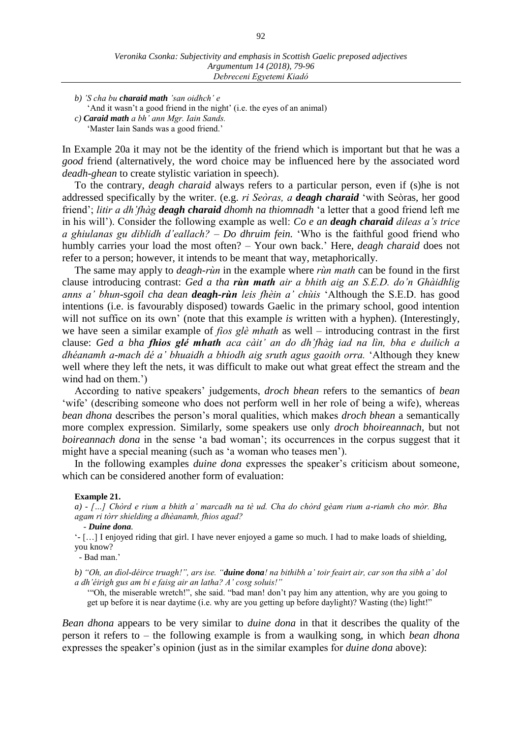*b) 'S cha bu charaid math 'san oidhch' e* 

'And it wasn't a good friend in the night' (i.e. the eyes of an animal)

*c) Caraid math a bh' ann Mgr. Iain Sands.* 

'Master Iain Sands was a good friend.'

In Example 20a it may not be the identity of the friend which is important but that he was a *good* friend (alternatively, the word choice may be influenced here by the associated word *deadh-ghean* to create stylistic variation in speech).

To the contrary, *deagh charaid* always refers to a particular person, even if (s)he is not addressed specifically by the writer. (e.g. *ri Seòras, a deagh charaid* 'with Seòras, her good friend'; *litir a dh'fhàg deagh charaid dhomh na thiomnadh* 'a letter that a good friend left me in his will'). Consider the following example as well: *Co e an deagh charaid dileas a's trice a ghiulanas gu diblidh d'eallach? – Do dhruim fein.* 'Who is the faithful good friend who humbly carries your load the most often? – Your own back.' Here, *deagh charaid* does not refer to a person; however, it intends to be meant that way, metaphorically.

The same may apply to *deagh-rùn* in the example where *rùn math* can be found in the first clause introducing contrast: *Ged a tha rùn math air a bhith aig an S.E.D. do'n Ghàidhlig anns a' bhun-sgoil cha dean deagh-rùn leis fhèin a' chùis* 'Although the S.E.D. has good intentions (i.e. is favourably disposed) towards Gaelic in the primary school, good intention will not suffice on its own' (note that this example *is* written with a hyphen). (Interestingly, we have seen a similar example of *fios glè mhath* as well – introducing contrast in the first clause: *Ged a bha fhios glé mhath aca càit' an do dh'fhàg iad na lìn, bha e duilich a dhéanamh a-mach dé a' bhuaidh a bhiodh aig sruth agus gaoith orra.* 'Although they knew well where they left the nets, it was difficult to make out what great effect the stream and the wind had on them.')

According to native speakers' judgements, *droch bhean* refers to the semantics of *bean* 'wife' (describing someone who does not perform well in her role of being a wife), whereas *bean dhona* describes the person's moral qualities, which makes *droch bhean* a semantically more complex expression. Similarly, some speakers use only *droch bhoireannach*, but not *boireannach dona* in the sense 'a bad woman'; its occurrences in the corpus suggest that it might have a special meaning (such as ʻa woman who teases men').

In the following examples *duine dona* expresses the speaker's criticism about someone, which can be considered another form of evaluation:

#### **Example 21.**

*a) - […] Chòrd e rium a bhith a' marcadh na tè ud. Cha do chòrd gèam rium a-riamh cho mòr. Bha agam ri tòrr shielding a dhèanamh, fhios agad?*

 *- Duine dona.*

'- […] I enjoyed riding that girl. I have never enjoyed a game so much. I had to make loads of shielding, you know?

 *-* Bad man.'

*b) "Oh, an dìol-déirce truagh!", ars ise. "duine dona! na bithibh a' toir feairt air, car son tha sibh a' dol a dh'éirigh gus am bi e faisg air an latha? A' cosg soluis!"* 

'"Oh, the miserable wretch!", she said. "bad man! don't pay him any attention, why are you going to get up before it is near daytime (i.e. why are you getting up before daylight)? Wasting (the) light!"

*Bean dhona* appears to be very similar to *duine dona* in that it describes the quality of the person it refers to – the following example is from a waulking song, in which *bean dhona* expresses the speaker's opinion (just as in the similar examples for *duine dona* above):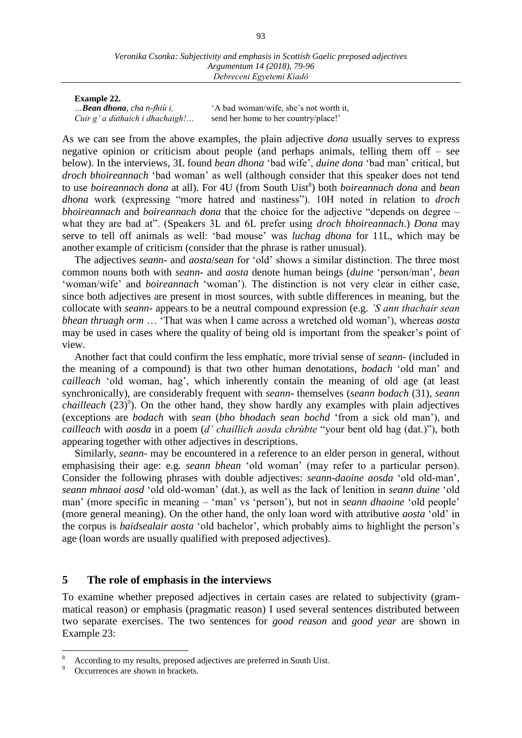#### **Example 22.**

*…Bean dhona, cha n-fhiù i,* 'A bad woman/wife, she's not worth it, *Cuir g' a dùthaich i dhachaigh!* ... send her home to her country/place!'

As we can see from the above examples, the plain adjective *dona* usually serves to express negative opinion or criticism about people (and perhaps animals, telling them off – see below). In the interviews, 3L found *bean dhona* 'bad wife', *duine dona* 'bad man' critical, but *droch bhoireannach* 'bad woman' as well (although consider that this speaker does not tend to use *boireannach dona* at all). For 4U (from South Uist<sup>8</sup>) both *boireannach dona* and *bean dhona* work (expressing "more hatred and nastiness"). 10H noted in relation to *droch bhoireannach* and *boireannach dona* that the choice for the adjective "depends on degree – what they are bad at". (Speakers 3L and 6L prefer using *droch bhoireannach*.) *Dona* may serve to tell off animals as well: 'bad mouse' was *luchag dhona* for 11L, which may be another example of criticism (consider that the phrase is rather unusual).

The adjectives *seann-* and *aosta*/*sean* for ʻold' shows a similar distinction. The three most common nouns both with *seann-* and *aosta* denote human beings (*duine* 'person/man', *bean* 'woman/wife' and *boireannach* 'woman'). The distinction is not very clear in either case, since both adjectives are present in most sources, with subtle differences in meaning, but the collocate with *seann-* appears to be a neutral compound expression (e.g. *'S ann thachair sean bhean thruagh orm* … 'That was when I came across a wretched old woman'), whereas *aosta* may be used in cases where the quality of being old is important from the speaker's point of view.

Another fact that could confirm the less emphatic, more trivial sense of *seann-* (included in the meaning of a compound) is that two other human denotations, *bodach* 'old man' and *cailleach* 'old woman, hag', which inherently contain the meaning of old age (at least synchronically), are considerably frequent with *seann-* themselves (*seann bodach* (31)*, seann*  chailleach (23)<sup>9</sup>). On the other hand, they show hardly any examples with plain adjectives (exceptions are *bodach* with *sean* (*bho bhodach sean bochd* 'from a sick old man'), and *cailleach* with *aosda* in a poem (*d' chaillich aosda chrùbte* "your bent old hag (dat.)"), both appearing together with other adjectives in descriptions.

Similarly, *seann-* may be encountered in a reference to an elder person in general, without emphasising their age: e.g. *seann bhean* 'old woman' (may refer to a particular person). Consider the following phrases with double adjectives: *seann-daoine aosda* 'old old-man', *seann mhnaoi aosd* 'old old-woman' (dat.), as well as the lack of lenition in *seann duine* 'old man' (more specific in meaning – ʻman' vs ʻperson'), but not in *seann dhaoine* 'old people' (more general meaning). On the other hand, the only loan word with attributive *aosta* 'old' in the corpus is *baidsealair aosta* 'old bachelor', which probably aims to highlight the person's age (loan words are usually qualified with preposed adjectives).

# **5 The role of emphasis in the interviews**

To examine whether preposed adjectives in certain cases are related to subjectivity (grammatical reason) or emphasis (pragmatic reason) I used several sentences distributed between two separate exercises. The two sentences for *good reason* and *good year* are shown in Example 23:

 $\overline{a}$ 

<sup>8</sup> According to my results, preposed adjectives are preferred in South Uist.

Occurrences are shown in brackets.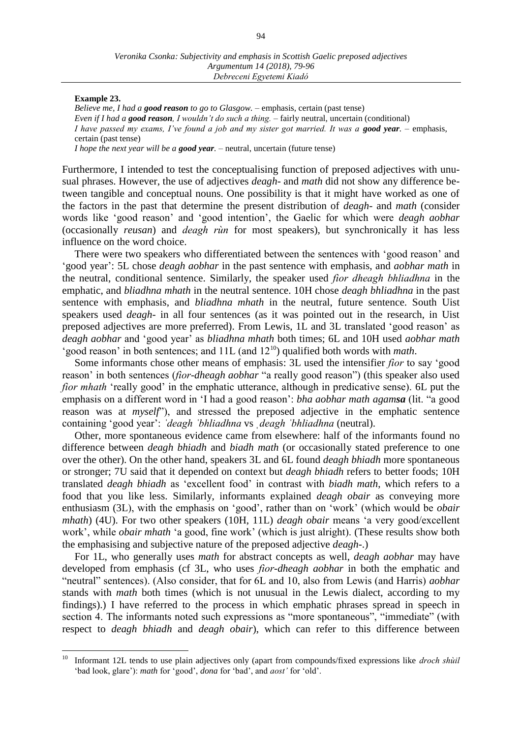### **Example 23.**

*Believe me, I had a good reason to go to Glasgow.* – emphasis, certain (past tense) *Even if I had a good reason, I wouldn't do such a thing.* – fairly neutral, uncertain (conditional) *I have passed my exams, I've found a job and my sister got married. It was a good year. – emphasis,* certain (past tense) *I hope the next year will be a good year.* – neutral, uncertain (future tense)

Furthermore, I intended to test the conceptualising function of preposed adjectives with unusual phrases. However, the use of adjectives *deagh*- and *math* did not show any difference between tangible and conceptual nouns. One possibility is that it might have worked as one of the factors in the past that determine the present distribution of *deagh-* and *math* (consider words like 'good reason' and 'good intention', the Gaelic for which were *deagh aobhar*  (occasionally *reusan*) and *deagh rùn* for most speakers), but synchronically it has less influence on the word choice.

There were two speakers who differentiated between the sentences with 'good reason' and 'good year': 5L chose *deagh aobhar* in the past sentence with emphasis, and *aobhar math* in the neutral, conditional sentence. Similarly, the speaker used *fìor dheagh bhliadhna* in the emphatic, and *bliadhna mhath* in the neutral sentence. 10H chose *deagh bhliadhna* in the past sentence with emphasis, and *bliadhna mhath* in the neutral, future sentence. South Uist speakers used *deagh-* in all four sentences (as it was pointed out in the research, in Uist preposed adjectives are more preferred). From Lewis, 1L and 3L translated 'good reason' as *deagh aobhar* and 'good year' as *bliadhna mhath* both times; 6L and 10H used *aobhar math* 'good reason' in both sentences; and 11L (and 12<sup>10</sup>) qualified both words with *math*.

Some informants chose other means of emphasis: 3L used the intensifier *fìor* to say 'good reason' in both sentences (*fìor-dheagh aobhar* "a really good reason") (this speaker also used *fior mhath* 'really good' in the emphatic utterance, although in predicative sense). 6L put the emphasis on a different word in 'I had a good reason': *bha aobhar math agamsa* (lit. "a good reason was at *myself*"), and stressed the preposed adjective in the emphatic sentence containing 'good year': *ˈdeagh ˈbhliadhna* vs *ˌdeagh ˈbhliadhna* (neutral).

Other, more spontaneous evidence came from elsewhere: half of the informants found no difference between *deagh bhiadh* and *biadh math* (or occasionally stated preference to one over the other). On the other hand, speakers 3L and 6L found *deagh bhiadh* more spontaneous or stronger; 7U said that it depended on context but *deagh bhiadh* refers to better foods; 10H translated *deagh bhiadh* as 'excellent food' in contrast with *biadh math*, which refers to a food that you like less. Similarly, informants explained *deagh obair* as conveying more enthusiasm (3L), with the emphasis on 'good', rather than on 'work' (which would be *obair mhath*) (4U). For two other speakers (10H, 11L) *deagh obair* means 'a very good/excellent work', while *obair mhath* 'a good, fine work' (which is just alright). (These results show both the emphasising and subjective nature of the preposed adjective *deagh-*.)

For 1L, who generally uses *math* for abstract concepts as well, *deagh aobhar* may have developed from emphasis (cf 3L, who uses *fìor-dheagh aobhar* in both the emphatic and "neutral" sentences). (Also consider, that for 6L and 10, also from Lewis (and Harris) *aobhar* stands with *math* both times (which is not unusual in the Lewis dialect, according to my findings).) I have referred to the process in which emphatic phrases spread in speech in section 4. The informants noted such expressions as "more spontaneous", "immediate" (with respect to *deagh bhiadh* and *deagh obair*), which can refer to this difference between

 $10\,$ <sup>10</sup> Informant 12L tends to use plain adjectives only (apart from compounds/fixed expressions like *droch shùil* 'bad look, glare'): *math* for 'good', *dona* for 'bad', and *aost'* for 'old'.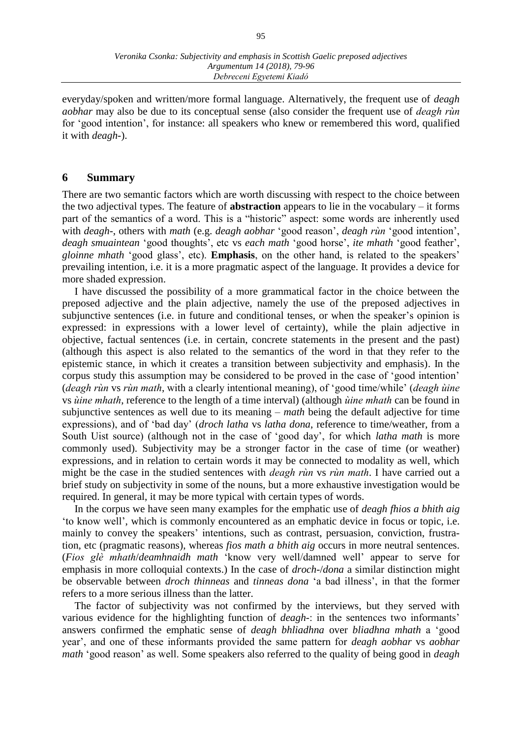everyday/spoken and written/more formal language. Alternatively, the frequent use of *deagh aobhar* may also be due to its conceptual sense (also consider the frequent use of *deagh rùn* for 'good intention', for instance: all speakers who knew or remembered this word, qualified it with *deagh-*).

# **6 Summary**

There are two semantic factors which are worth discussing with respect to the choice between the two adjectival types. The feature of **abstraction** appears to lie in the vocabulary – it forms part of the semantics of a word. This is a "historic" aspect: some words are inherently used with *deagh-*, others with *math* (e.g. *deagh aobhar* 'good reason', *deagh rùn* 'good intention', *deagh smuaintean* 'good thoughts', etc vs *each math* 'good horse', *ite mhath* 'good feather', *gloinne mhath* 'good glass', etc). **Emphasis**, on the other hand, is related to the speakers' prevailing intention, i.e. it is a more pragmatic aspect of the language. It provides a device for more shaded expression.

I have discussed the possibility of a more grammatical factor in the choice between the preposed adjective and the plain adjective, namely the use of the preposed adjectives in subjunctive sentences (i.e. in future and conditional tenses, or when the speaker's opinion is expressed: in expressions with a lower level of certainty), while the plain adjective in objective, factual sentences (i.e. in certain, concrete statements in the present and the past) (although this aspect is also related to the semantics of the word in that they refer to the epistemic stance, in which it creates a transition between subjectivity and emphasis). In the corpus study this assumption may be considered to be proved in the case of 'good intention' (*deagh rùn* vs *rùn math*, with a clearly intentional meaning), of 'good time/while' (*deagh ùine* vs *ùine mhath*, reference to the length of a time interval) (although *ùine mhath* can be found in subjunctive sentences as well due to its meaning – *math* being the default adjective for time expressions), and of 'bad day' (*droch latha* vs *latha dona*, reference to time/weather, from a South Uist source) (although not in the case of 'good day', for which *latha math* is more commonly used). Subjectivity may be a stronger factor in the case of time (or weather) expressions, and in relation to certain words it may be connected to modality as well, which might be the case in the studied sentences with *deagh rùn* vs *rùn math*. I have carried out a brief study on subjectivity in some of the nouns, but a more exhaustive investigation would be required. In general, it may be more typical with certain types of words.

In the corpus we have seen many examples for the emphatic use of *deagh fhios a bhith aig*  ʻto know well', which is commonly encountered as an emphatic device in focus or topic, i.e. mainly to convey the speakers' intentions, such as contrast, persuasion, conviction, frustration, etc (pragmatic reasons), whereas *fios math a bhith aig* occurs in more neutral sentences. (*Fios glè mhath*/*deamhnaidh math* ʻknow very well/damned well' appear to serve for emphasis in more colloquial contexts.) In the case of *droch-*/*dona* a similar distinction might be observable between *droch thinneas* and *tinneas dona* 'a bad illness', in that the former refers to a more serious illness than the latter.

The factor of subjectivity was not confirmed by the interviews, but they served with various evidence for the highlighting function of *deagh-*: in the sentences two informants' answers confirmed the emphatic sense of *deagh bhliadhna* over *bliadhna mhath* a 'good year', and one of these informants provided the same pattern for *deagh aobhar* vs *aobhar math* 'good reason' as well. Some speakers also referred to the quality of being good in *deagh*